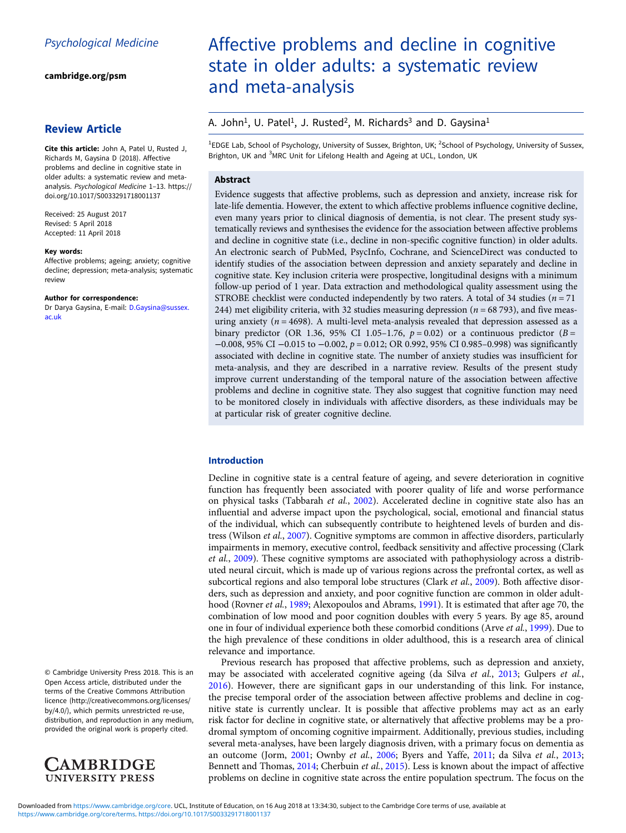[cambridge.org/psm](https://www.cambridge.org/psm)

# Review Article

Cite this article: John A, Patel U, Rusted J, Richards M, Gaysina D (2018). Affective problems and decline in cognitive state in older adults: a systematic review and metaanalysis. Psychological Medicine 1–13. [https://](https://doi.org/10.1017/S0033291718001137) [doi.org/10.1017/S0033291718001137](https://doi.org/10.1017/S0033291718001137)

Received: 25 August 2017 Revised: 5 April 2018 Accepted: 11 April 2018

#### Key words:

Affective problems; ageing; anxiety; cognitive decline; depression; meta-analysis; systematic review

#### Author for correspondence:

Dr Darya Gaysina, E-mail: [D.Gaysina@sussex.](mailto:D.Gaysina@sussex.ac.uk) [ac.uk](mailto:D.Gaysina@sussex.ac.uk)

© Cambridge University Press 2018. This is an Open Access article, distributed under the terms of the Creative Commons Attribution licence (http://creativecommons.org/licenses/ by/4.0/), which permits unrestricted re-use, distribution, and reproduction in any medium, provided the original work is properly cited.



# Affective problems and decline in cognitive state in older adults: a systematic review and meta-analysis

# A. John<sup>1</sup>, U. Patel<sup>1</sup>, J. Rusted<sup>2</sup>, M. Richards<sup>3</sup> and D. Gaysina<sup>1</sup>

<sup>1</sup>EDGE Lab, School of Psychology, University of Sussex, Brighton, UK; <sup>2</sup>School of Psychology, University of Sussex, Brighton, UK and <sup>3</sup>MRC Unit for Lifelong Health and Ageing at UCL, London, UK

## Abstract

Evidence suggests that affective problems, such as depression and anxiety, increase risk for late-life dementia. However, the extent to which affective problems influence cognitive decline, even many years prior to clinical diagnosis of dementia, is not clear. The present study systematically reviews and synthesises the evidence for the association between affective problems and decline in cognitive state (i.e., decline in non-specific cognitive function) in older adults. An electronic search of PubMed, PsycInfo, Cochrane, and ScienceDirect was conducted to identify studies of the association between depression and anxiety separately and decline in cognitive state. Key inclusion criteria were prospective, longitudinal designs with a minimum follow-up period of 1 year. Data extraction and methodological quality assessment using the STROBE checklist were conducted independently by two raters. A total of 34 studies ( $n = 71$ ) 244) met eligibility criteria, with 32 studies measuring depression ( $n = 68,793$ ), and five measuring anxiety ( $n = 4698$ ). A multi-level meta-analysis revealed that depression assessed as a binary predictor (OR 1.36, 95% CI 1.05–1.76,  $p = 0.02$ ) or a continuous predictor ( $B =$ −0.008, 95% CI −0.015 to −0.002, p = 0.012; OR 0.992, 95% CI 0.985–0.998) was significantly associated with decline in cognitive state. The number of anxiety studies was insufficient for meta-analysis, and they are described in a narrative review. Results of the present study improve current understanding of the temporal nature of the association between affective problems and decline in cognitive state. They also suggest that cognitive function may need to be monitored closely in individuals with affective disorders, as these individuals may be at particular risk of greater cognitive decline.

# Introduction

Decline in cognitive state is a central feature of ageing, and severe deterioration in cognitive function has frequently been associated with poorer quality of life and worse performance on physical tasks (Tabbarah et al., [2002\)](#page-12-0). Accelerated decline in cognitive state also has an influential and adverse impact upon the psychological, social, emotional and financial status of the individual, which can subsequently contribute to heightened levels of burden and distress (Wilson et al., [2007](#page-12-0)). Cognitive symptoms are common in affective disorders, particularly impairments in memory, executive control, feedback sensitivity and affective processing (Clark et al., [2009\)](#page-11-0). These cognitive symptoms are associated with pathophysiology across a distributed neural circuit, which is made up of various regions across the prefrontal cortex, as well as subcortical regions and also temporal lobe structures (Clark *et al.*, [2009](#page-11-0)). Both affective disorders, such as depression and anxiety, and poor cognitive function are common in older adulthood (Rovner *et al.*, [1989](#page-12-0); Alexopoulos and Abrams, [1991\)](#page-10-0). It is estimated that after age 70, the combination of low mood and poor cognition doubles with every 5 years. By age 85, around one in four of individual experience both these comorbid conditions (Arve et al., [1999](#page-10-0)). Due to the high prevalence of these conditions in older adulthood, this is a research area of clinical relevance and importance.

Previous research has proposed that affective problems, such as depression and anxiety, may be associated with accelerated cognitive ageing (da Silva et al., [2013;](#page-11-0) Gulpers et al., [2016\)](#page-11-0). However, there are significant gaps in our understanding of this link. For instance, the precise temporal order of the association between affective problems and decline in cognitive state is currently unclear. It is possible that affective problems may act as an early risk factor for decline in cognitive state, or alternatively that affective problems may be a prodromal symptom of oncoming cognitive impairment. Additionally, previous studies, including several meta-analyses, have been largely diagnosis driven, with a primary focus on dementia as an outcome (Jorm, [2001](#page-11-0); Ownby et al., [2006;](#page-12-0) Byers and Yaffe, [2011;](#page-11-0) da Silva et al., [2013](#page-11-0); Bennett and Thomas, [2014;](#page-10-0) Cherbuin et al., [2015\)](#page-11-0). Less is known about the impact of affective problems on decline in cognitive state across the entire population spectrum. The focus on the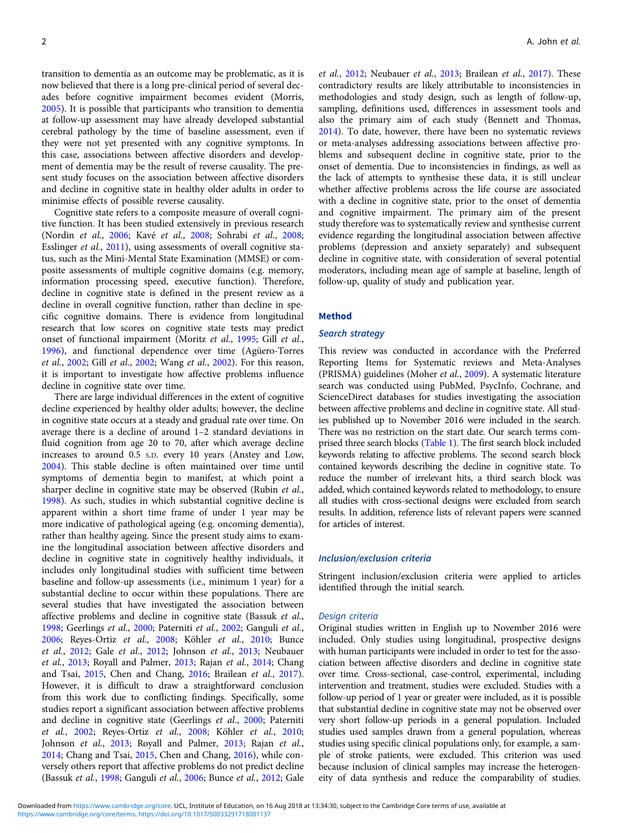transition to dementia as an outcome may be problematic, as it is now believed that there is a long pre-clinical period of several decades before cognitive impairment becomes evident (Morris, [2005\)](#page-11-0). It is possible that participants who transition to dementia at follow-up assessment may have already developed substantial cerebral pathology by the time of baseline assessment, even if they were not yet presented with any cognitive symptoms. In this case, associations between affective disorders and development of dementia may be the result of reverse causality. The present study focuses on the association between affective disorders and decline in cognitive state in healthy older adults in order to minimise effects of possible reverse causality.

Cognitive state refers to a composite measure of overall cognitive function. It has been studied extensively in previous research (Nordin et al., [2006](#page-11-0); Kavé et al., [2008;](#page-11-0) Sohrabi et al., [2008](#page-12-0); Esslinger et al., [2011](#page-11-0)), using assessments of overall cognitive status, such as the Mini-Mental State Examination (MMSE) or composite assessments of multiple cognitive domains (e.g. memory, information processing speed, executive function). Therefore, decline in cognitive state is defined in the present review as a decline in overall cognitive function, rather than decline in specific cognitive domains. There is evidence from longitudinal research that low scores on cognitive state tests may predict onset of functional impairment (Moritz et al., [1995;](#page-11-0) Gill et al., [1996\)](#page-11-0), and functional dependence over time (Agüero-Torres et al., [2002](#page-10-0); Gill et al., [2002](#page-11-0); Wang et al., [2002](#page-12-0)). For this reason, it is important to investigate how affective problems influence decline in cognitive state over time.

There are large individual differences in the extent of cognitive decline experienced by healthy older adults; however, the decline in cognitive state occurs at a steady and gradual rate over time. On average there is a decline of around 1–2 standard deviations in fluid cognition from age 20 to 70, after which average decline increases to around 0.5 S.D. every 10 years (Anstey and Low, [2004\)](#page-10-0). This stable decline is often maintained over time until symptoms of dementia begin to manifest, at which point a sharper decline in cognitive state may be observed (Rubin et al., [1998\)](#page-12-0). As such, studies in which substantial cognitive decline is apparent within a short time frame of under 1 year may be more indicative of pathological ageing (e.g. oncoming dementia), rather than healthy ageing. Since the present study aims to examine the longitudinal association between affective disorders and decline in cognitive state in cognitively healthy individuals, it includes only longitudinal studies with sufficient time between baseline and follow-up assessments (i.e., minimum 1 year) for a substantial decline to occur within these populations. There are several studies that have investigated the association between affective problems and decline in cognitive state (Bassuk et al., [1998;](#page-10-0) Geerlings et al., [2000](#page-11-0); Paterniti et al., [2002](#page-12-0); Ganguli et al., [2006;](#page-11-0) Reyes-Ortiz et al., [2008;](#page-12-0) Köhler et al., [2010;](#page-11-0) Bunce et al., [2012;](#page-10-0) Gale et al., [2012;](#page-11-0) Johnson et al., [2013](#page-11-0); Neubauer et al., [2013;](#page-11-0) Royall and Palmer, [2013](#page-12-0); Rajan et al., [2014](#page-12-0); Chang and Tsai, [2015,](#page-11-0) Chen and Chang, [2016;](#page-11-0) Brailean et al., [2017\)](#page-10-0). However, it is difficult to draw a straightforward conclusion from this work due to conflicting findings. Specifically, some studies report a significant association between affective problems and decline in cognitive state (Geerlings et al., [2000](#page-11-0); Paterniti et al., [2002;](#page-12-0) Reyes-Ortiz et al., [2008](#page-12-0); Köhler et al., [2010](#page-11-0); Johnson et al., [2013](#page-11-0); Royall and Palmer, [2013;](#page-12-0) Rajan et al., [2014;](#page-12-0) Chang and Tsai, [2015](#page-11-0), Chen and Chang, [2016](#page-11-0)), while conversely others report that affective problems do not predict decline (Bassuk et al., [1998;](#page-10-0) Ganguli et al., [2006;](#page-11-0) Bunce et al., [2012;](#page-10-0) Gale

et al., [2012;](#page-11-0) Neubauer et al., [2013](#page-11-0); Brailean et al., [2017](#page-10-0)). These contradictory results are likely attributable to inconsistencies in methodologies and study design, such as length of follow-up, sampling, definitions used, differences in assessment tools and also the primary aim of each study (Bennett and Thomas, [2014\)](#page-10-0). To date, however, there have been no systematic reviews or meta-analyses addressing associations between affective problems and subsequent decline in cognitive state, prior to the onset of dementia. Due to inconsistencies in findings, as well as the lack of attempts to synthesise these data, it is still unclear whether affective problems across the life course are associated with a decline in cognitive state, prior to the onset of dementia and cognitive impairment. The primary aim of the present study therefore was to systematically review and synthesise current evidence regarding the longitudinal association between affective problems (depression and anxiety separately) and subsequent decline in cognitive state, with consideration of several potential moderators, including mean age of sample at baseline, length of follow-up, quality of study and publication year.

### Method

## Search strategy

This review was conducted in accordance with the Preferred Reporting Items for Systematic reviews and Meta-Analyses (PRISMA) guidelines (Moher et al., [2009](#page-11-0)). A systematic literature search was conducted using PubMed, PsycInfo, Cochrane, and ScienceDirect databases for studies investigating the association between affective problems and decline in cognitive state. All studies published up to November 2016 were included in the search. There was no restriction on the start date. Our search terms comprised three search blocks [\(Table 1](#page-2-0)). The first search block included keywords relating to affective problems. The second search block contained keywords describing the decline in cognitive state. To reduce the number of irrelevant hits, a third search block was added, which contained keywords related to methodology, to ensure all studies with cross-sectional designs were excluded from search results. In addition, reference lists of relevant papers were scanned for articles of interest.

#### Inclusion/exclusion criteria

Stringent inclusion/exclusion criteria were applied to articles identified through the initial search.

## Desian criteria

Original studies written in English up to November 2016 were included. Only studies using longitudinal, prospective designs with human participants were included in order to test for the association between affective disorders and decline in cognitive state over time. Cross-sectional, case-control, experimental, including intervention and treatment, studies were excluded. Studies with a follow-up period of 1 year or greater were included, as it is possible that substantial decline in cognitive state may not be observed over very short follow-up periods in a general population. Included studies used samples drawn from a general population, whereas studies using specific clinical populations only, for example, a sample of stroke patients, were excluded. This criterion was used because inclusion of clinical samples may increase the heterogeneity of data synthesis and reduce the comparability of studies.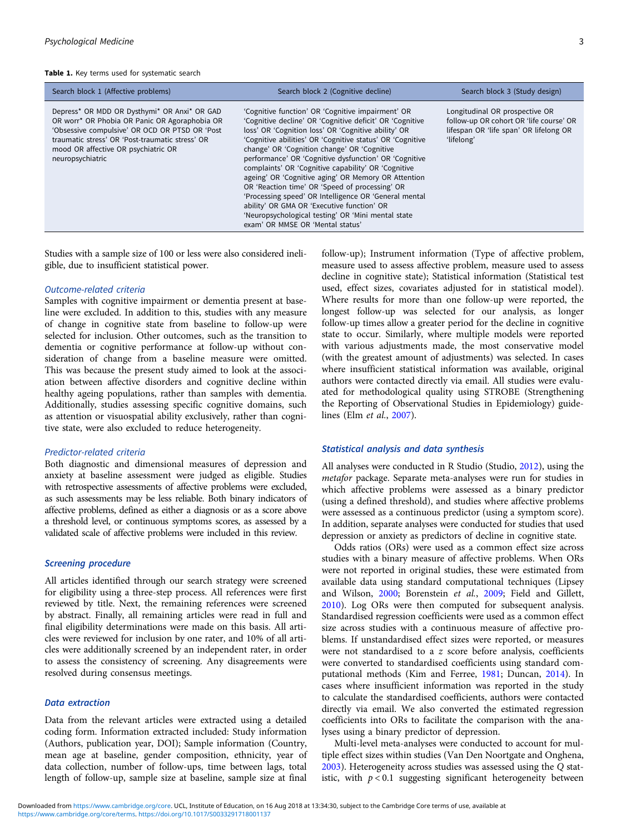#### <span id="page-2-0"></span>Table 1. Key terms used for systematic search

| Search block 1 (Affective problems)                                                                                                                                                                                                                           | Search block 2 (Cognitive decline)                                                                                                                                                                                                                                                                                                                                                                                                                                                                                                                                                                                                                                                                         | Search block 3 (Study design)                                                                                                     |
|---------------------------------------------------------------------------------------------------------------------------------------------------------------------------------------------------------------------------------------------------------------|------------------------------------------------------------------------------------------------------------------------------------------------------------------------------------------------------------------------------------------------------------------------------------------------------------------------------------------------------------------------------------------------------------------------------------------------------------------------------------------------------------------------------------------------------------------------------------------------------------------------------------------------------------------------------------------------------------|-----------------------------------------------------------------------------------------------------------------------------------|
| Depress* OR MDD OR Dysthymi* OR Anxi* OR GAD<br>OR worr* OR Phobia OR Panic OR Agoraphobia OR<br>'Obsessive compulsive' OR OCD OR PTSD OR 'Post<br>traumatic stress' OR 'Post-traumatic stress' OR<br>mood OR affective OR psychiatric OR<br>neuropsychiatric | 'Cognitive function' OR 'Cognitive impairment' OR<br>'Cognitive decline' OR 'Cognitive deficit' OR 'Cognitive<br>loss' OR 'Cognition loss' OR 'Cognitive ability' OR<br>'Cognitive abilities' OR 'Cognitive status' OR 'Cognitive<br>change' OR 'Cognition change' OR 'Cognitive<br>performance' OR 'Cognitive dysfunction' OR 'Cognitive<br>complaints' OR 'Cognitive capability' OR 'Cognitive<br>ageing' OR 'Cognitive aging' OR Memory OR Attention<br>OR 'Reaction time' OR 'Speed of processing' OR<br>'Processing speed' OR Intelligence OR 'General mental<br>ability' OR GMA OR 'Executive function' OR<br>'Neuropsychological testing' OR 'Mini mental state<br>exam' OR MMSE OR 'Mental status' | Longitudinal OR prospective OR<br>follow-up OR cohort OR 'life course' OR<br>lifespan OR 'life span' OR lifelong OR<br>'lifelong' |

Studies with a sample size of 100 or less were also considered ineligible, due to insufficient statistical power.

## Outcome-related criteria

Samples with cognitive impairment or dementia present at baseline were excluded. In addition to this, studies with any measure of change in cognitive state from baseline to follow-up were selected for inclusion. Other outcomes, such as the transition to dementia or cognitive performance at follow-up without consideration of change from a baseline measure were omitted. This was because the present study aimed to look at the association between affective disorders and cognitive decline within healthy ageing populations, rather than samples with dementia. Additionally, studies assessing specific cognitive domains, such as attention or visuospatial ability exclusively, rather than cognitive state, were also excluded to reduce heterogeneity.

## Predictor-related criteria

Both diagnostic and dimensional measures of depression and anxiety at baseline assessment were judged as eligible. Studies with retrospective assessments of affective problems were excluded, as such assessments may be less reliable. Both binary indicators of affective problems, defined as either a diagnosis or as a score above a threshold level, or continuous symptoms scores, as assessed by a validated scale of affective problems were included in this review.

# Screening procedure

All articles identified through our search strategy were screened for eligibility using a three-step process. All references were first reviewed by title. Next, the remaining references were screened by abstract. Finally, all remaining articles were read in full and final eligibility determinations were made on this basis. All articles were reviewed for inclusion by one rater, and 10% of all articles were additionally screened by an independent rater, in order to assess the consistency of screening. Any disagreements were resolved during consensus meetings.

# Data extraction

Data from the relevant articles were extracted using a detailed coding form. Information extracted included: Study information (Authors, publication year, DOI); Sample information (Country, mean age at baseline, gender composition, ethnicity, year of data collection, number of follow-ups, time between lags, total length of follow-up, sample size at baseline, sample size at final

follow-up); Instrument information (Type of affective problem, measure used to assess affective problem, measure used to assess decline in cognitive state); Statistical information (Statistical test used, effect sizes, covariates adjusted for in statistical model). Where results for more than one follow-up were reported, the longest follow-up was selected for our analysis, as longer follow-up times allow a greater period for the decline in cognitive state to occur. Similarly, where multiple models were reported with various adjustments made, the most conservative model (with the greatest amount of adjustments) was selected. In cases where insufficient statistical information was available, original authors were contacted directly via email. All studies were evaluated for methodological quality using STROBE (Strengthening the Reporting of Observational Studies in Epidemiology) guidelines (Elm et al., [2007](#page-11-0)).

## Statistical analysis and data synthesis

All analyses were conducted in R Studio (Studio, [2012\)](#page-12-0), using the metafor package. Separate meta-analyses were run for studies in which affective problems were assessed as a binary predictor (using a defined threshold), and studies where affective problems were assessed as a continuous predictor (using a symptom score). In addition, separate analyses were conducted for studies that used depression or anxiety as predictors of decline in cognitive state.

Odds ratios (ORs) were used as a common effect size across studies with a binary measure of affective problems. When ORs were not reported in original studies, these were estimated from available data using standard computational techniques (Lipsey and Wilson, [2000;](#page-11-0) Borenstein et al., [2009;](#page-10-0) Field and Gillett, [2010](#page-11-0)). Log ORs were then computed for subsequent analysis. Standardised regression coefficients were used as a common effect size across studies with a continuous measure of affective problems. If unstandardised effect sizes were reported, or measures were not standardised to a z score before analysis, coefficients were converted to standardised coefficients using standard computational methods (Kim and Ferree, [1981;](#page-11-0) Duncan, [2014\)](#page-11-0). In cases where insufficient information was reported in the study to calculate the standardised coefficients, authors were contacted directly via email. We also converted the estimated regression coefficients into ORs to facilitate the comparison with the analyses using a binary predictor of depression.

Multi-level meta-analyses were conducted to account for multiple effect sizes within studies (Van Den Noortgate and Onghena, [2003](#page-12-0)). Heterogeneity across studies was assessed using the Q statistic, with  $p < 0.1$  suggesting significant heterogeneity between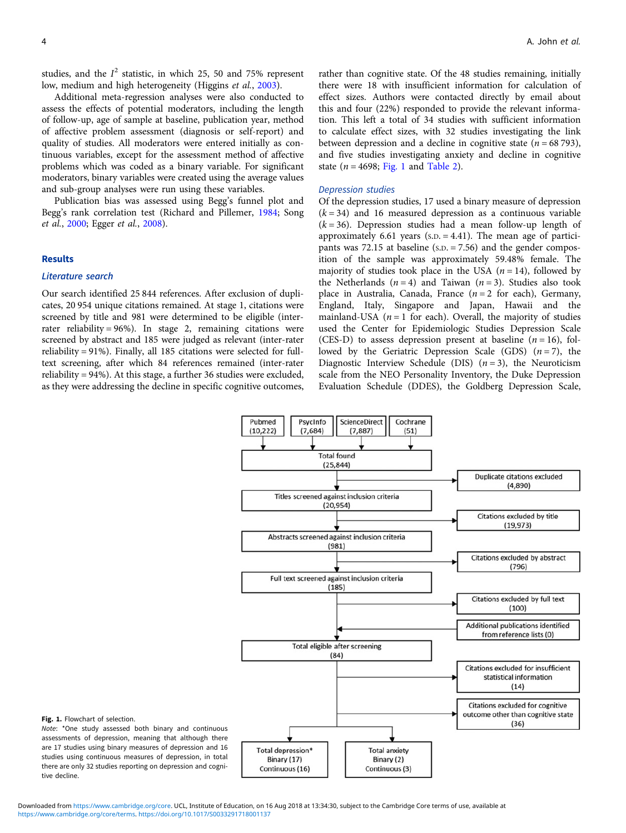studies, and the  $I^2$  statistic, in which 25, 50 and 75% represent low, medium and high heterogeneity (Higgins et al., [2003](#page-11-0)).

Additional meta-regression analyses were also conducted to assess the effects of potential moderators, including the length of follow-up, age of sample at baseline, publication year, method of affective problem assessment (diagnosis or self-report) and quality of studies. All moderators were entered initially as continuous variables, except for the assessment method of affective problems which was coded as a binary variable. For significant moderators, binary variables were created using the average values and sub-group analyses were run using these variables.

Publication bias was assessed using Begg's funnel plot and Begg's rank correlation test (Richard and Pillemer, [1984](#page-11-0); Song et al., [2000](#page-12-0); Egger et al., [2008](#page-11-0)).

# Results

# Literature search

Our search identified 25 844 references. After exclusion of duplicates, 20 954 unique citations remained. At stage 1, citations were screened by title and 981 were determined to be eligible (interrater reliability = 96%). In stage 2, remaining citations were screened by abstract and 185 were judged as relevant (inter-rater reliability = 91%). Finally, all 185 citations were selected for fulltext screening, after which 84 references remained (inter-rater reliability = 94%). At this stage, a further 36 studies were excluded, as they were addressing the decline in specific cognitive outcomes, rather than cognitive state. Of the 48 studies remaining, initially there were 18 with insufficient information for calculation of effect sizes. Authors were contacted directly by email about this and four (22%) responded to provide the relevant information. This left a total of 34 studies with sufficient information to calculate effect sizes, with 32 studies investigating the link between depression and a decline in cognitive state ( $n = 68793$ ), and five studies investigating anxiety and decline in cognitive state ( $n = 4698$ ; Fig. 1 and [Table 2](#page-4-0)).

## Depression studies

Of the depression studies, 17 used a binary measure of depression  $(k = 34)$  and 16 measured depression as a continuous variable  $(k = 36)$ . Depression studies had a mean follow-up length of approximately  $6.61$  years  $(s.D. = 4.41)$ . The mean age of participants was  $72.15$  at baseline (s.p. = 7.56) and the gender composition of the sample was approximately 59.48% female. The majority of studies took place in the USA  $(n = 14)$ , followed by the Netherlands ( $n = 4$ ) and Taiwan ( $n = 3$ ). Studies also took place in Australia, Canada, France  $(n = 2$  for each), Germany, England, Italy, Singapore and Japan, Hawaii and the mainland-USA ( $n = 1$  for each). Overall, the majority of studies used the Center for Epidemiologic Studies Depression Scale (CES-D) to assess depression present at baseline  $(n = 16)$ , followed by the Geriatric Depression Scale (GDS)  $(n=7)$ , the Diagnostic Interview Schedule (DIS)  $(n=3)$ , the Neuroticism scale from the NEO Personality Inventory, the Duke Depression Evaluation Schedule (DDES), the Goldberg Depression Scale,



## Fig. 1. Flowchart of selection.

Note: \*One study assessed both binary and continuous assessments of depression, meaning that although there are 17 studies using binary measures of depression and 16 studies using continuous measures of depression, in total there are only 32 studies reporting on depression and cognitive decline.

[https://www.cambridge.org/core/terms.](https://www.cambridge.org/core/terms) <https://doi.org/10.1017/S0033291718001137> Downloaded from [https://www.cambridge.org/core.](https://www.cambridge.org/core) UCL, Institute of Education, on 16 Aug 2018 at 13:34:30, subject to the Cambridge Core terms of use, available at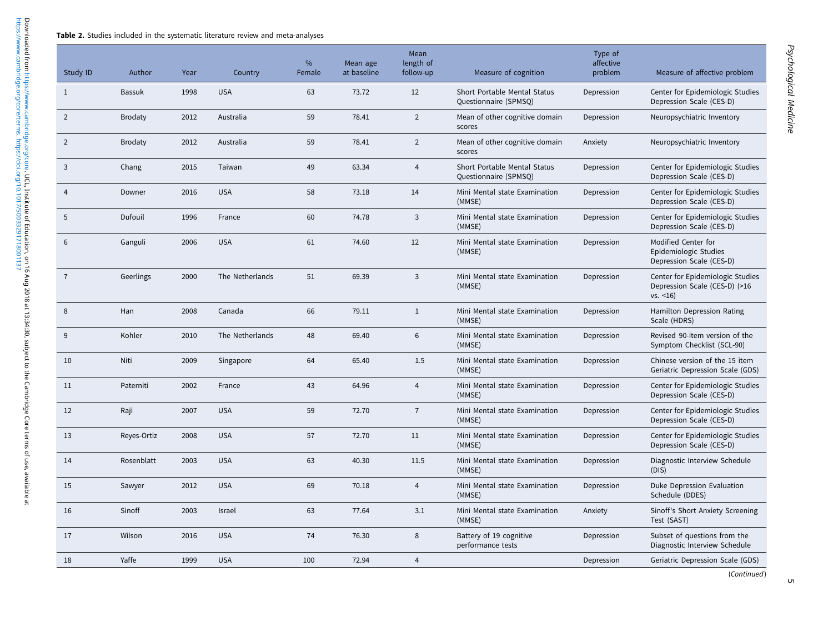## <span id="page-4-0"></span>**Table 2.** Studies included in the systematic literature review and meta-analyses

| Study ID       | Author         | Year | Country         | %<br>Female | Mean age<br>at baseline | Mean<br>length of<br>follow-up | Measure of cognition                                  | Type of<br>affective<br>problem | Measure of affective problem                                                      |
|----------------|----------------|------|-----------------|-------------|-------------------------|--------------------------------|-------------------------------------------------------|---------------------------------|-----------------------------------------------------------------------------------|
| $\mathbf{1}$   | <b>Bassuk</b>  | 1998 | <b>USA</b>      | 63          | 73.72                   | 12                             | Short Portable Mental Status<br>Questionnaire (SPMSQ) | Depression                      | Center for Epidemiologic Studies<br>Depression Scale (CES-D)                      |
| $\overline{2}$ | <b>Brodaty</b> | 2012 | Australia       | 59          | 78.41                   | $\overline{2}$                 | Mean of other cognitive domain<br>scores              | Depression                      | Neuropsychiatric Inventory                                                        |
| $\overline{2}$ | <b>Brodaty</b> | 2012 | Australia       | 59          | 78.41                   | $\overline{2}$                 | Mean of other cognitive domain<br>scores              | Anxiety                         | Neuropsychiatric Inventory                                                        |
| 3              | Chang          | 2015 | Taiwan          | 49          | 63.34                   | $\overline{4}$                 | Short Portable Mental Status<br>Questionnaire (SPMSQ) | Depression                      | Center for Epidemiologic Studies<br>Depression Scale (CES-D)                      |
| 4              | Downer         | 2016 | <b>USA</b>      | 58          | 73.18                   | 14                             | Mini Mental state Examination<br>(MMSE)               | Depression                      | Center for Epidemiologic Studies<br>Depression Scale (CES-D)                      |
| 5              | Dufouil        | 1996 | France          | 60          | 74.78                   | $\overline{3}$                 | Mini Mental state Examination<br>(MMSE)               | Depression                      | Center for Epidemiologic Studies<br>Depression Scale (CES-D)                      |
| 6              | Ganguli        | 2006 | <b>USA</b>      | 61          | 74.60                   | 12                             | Mini Mental state Examination<br>(MMSE)               | Depression                      | Modified Center for<br>Epidemiologic Studies<br>Depression Scale (CES-D)          |
| $\overline{7}$ | Geerlings      | 2000 | The Netherlands | 51          | 69.39                   | $\overline{3}$                 | Mini Mental state Examination<br>(MMSE)               | Depression                      | Center for Epidemiologic Studies<br>Depression Scale (CES-D) (>16<br>$vs. < 16$ ) |
| 8              | Han            | 2008 | Canada          | 66          | 79.11                   | $\mathbf{1}$                   | Mini Mental state Examination<br>(MMSE)               | Depression                      | Hamilton Depression Rating<br>Scale (HDRS)                                        |
| 9              | Kohler         | 2010 | The Netherlands | 48          | 69.40                   | 6                              | Mini Mental state Examination<br>(MMSE)               | Depression                      | Revised 90-item version of the<br>Symptom Checklist (SCL-90)                      |
| 10             | Niti           | 2009 | Singapore       | 64          | 65.40                   | 1.5                            | Mini Mental state Examination<br>(MMSE)               | Depression                      | Chinese version of the 15 item<br>Geriatric Depression Scale (GDS)                |
| 11             | Paterniti      | 2002 | France          | 43          | 64.96                   | $\overline{4}$                 | Mini Mental state Examination<br>(MMSE)               | Depression                      | Center for Epidemiologic Studies<br>Depression Scale (CES-D)                      |
| 12             | Raji           | 2007 | <b>USA</b>      | 59          | 72.70                   | $\overline{7}$                 | Mini Mental state Examination<br>(MMSE)               | Depression                      | Center for Epidemiologic Studies<br>Depression Scale (CES-D)                      |
| 13             | Reyes-Ortiz    | 2008 | <b>USA</b>      | 57          | 72.70                   | 11                             | Mini Mental state Examination<br>(MMSE)               | Depression                      | Center for Epidemiologic Studies<br>Depression Scale (CES-D)                      |
| 14             | Rosenblatt     | 2003 | <b>USA</b>      | 63          | 40.30                   | 11.5                           | Mini Mental state Examination<br>(MMSE)               | Depression                      | Diagnostic Interview Schedule<br>(DIS)                                            |
| 15             | Sawyer         | 2012 | <b>USA</b>      | 69          | 70.18                   | $\overline{4}$                 | Mini Mental state Examination<br>(MMSE)               | Depression                      | Duke Depression Evaluation<br>Schedule (DDES)                                     |
| 16             | Sinoff         | 2003 | Israel          | 63          | 77.64                   | 3.1                            | Mini Mental state Examination<br>(MMSE)               | Anxiety                         | Sinoff's Short Anxiety Screening<br>Test (SAST)                                   |
| 17             | Wilson         | 2016 | <b>USA</b>      | 74          | 76.30                   | 8                              | Battery of 19 cognitive<br>performance tests          | Depression                      | Subset of questions from the<br>Diagnostic Interview Schedule                     |
| 18             | Yaffe          | 1999 | <b>USA</b>      | 100         | 72.94                   | $\overline{4}$                 |                                                       | Depression                      | Geriatric Depression Scale (GDS)                                                  |

(Continued)

5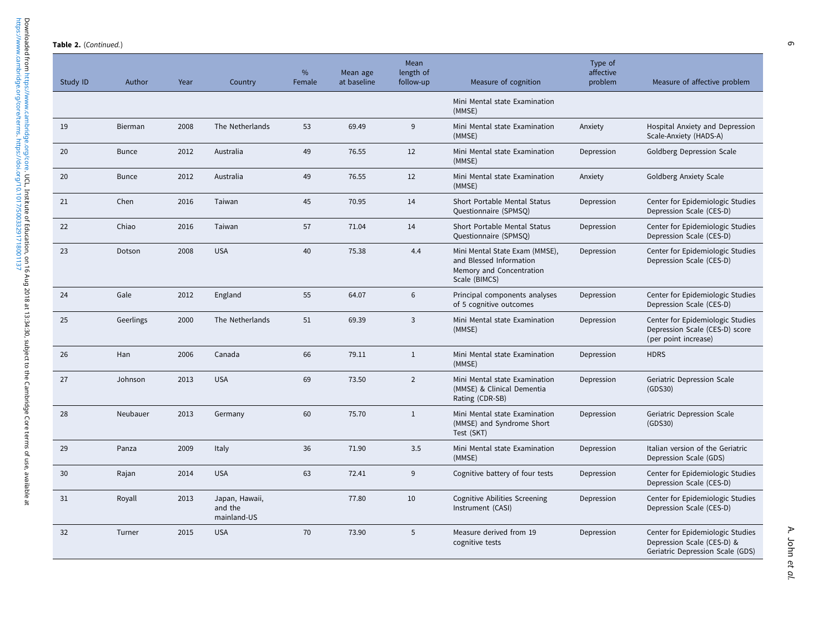| Study ID | Author       | Year | Country                                  | $\%$<br>Female | Mean age<br>at baseline | Mean<br>length of<br>follow-up | Measure of cognition                                                                                   | Type of<br>affective<br>problem | Measure of affective problem                                                                       |
|----------|--------------|------|------------------------------------------|----------------|-------------------------|--------------------------------|--------------------------------------------------------------------------------------------------------|---------------------------------|----------------------------------------------------------------------------------------------------|
|          |              |      |                                          |                |                         |                                | Mini Mental state Examination<br>(MMSE)                                                                |                                 |                                                                                                    |
| 19       | Bierman      | 2008 | The Netherlands                          | 53             | 69.49                   | 9                              | Mini Mental state Examination<br>(MMSE)                                                                | Anxiety                         | Hospital Anxiety and Depression<br>Scale-Anxiety (HADS-A)                                          |
| 20       | <b>Bunce</b> | 2012 | Australia                                | 49             | 76.55                   | 12                             | Mini Mental state Examination<br>(MMSE)                                                                | Depression                      | Goldberg Depression Scale                                                                          |
| 20       | <b>Bunce</b> | 2012 | Australia                                | 49             | 76.55                   | 12                             | Mini Mental state Examination<br>(MMSE)                                                                | Anxiety                         | Goldberg Anxiety Scale                                                                             |
| 21       | Chen         | 2016 | Taiwan                                   | 45             | 70.95                   | 14                             | Short Portable Mental Status<br>Questionnaire (SPMSQ)                                                  | Depression                      | Center for Epidemiologic Studies<br>Depression Scale (CES-D)                                       |
| 22       | Chiao        | 2016 | Taiwan                                   | 57             | 71.04                   | 14                             | Short Portable Mental Status<br>Questionnaire (SPMSQ)                                                  | Depression                      | Center for Epidemiologic Studies<br>Depression Scale (CES-D)                                       |
| 23       | Dotson       | 2008 | <b>USA</b>                               | 40             | 75.38                   | 4.4                            | Mini Mental State Exam (MMSE),<br>and Blessed Information<br>Memory and Concentration<br>Scale (BIMCS) | Depression                      | Center for Epidemiologic Studies<br>Depression Scale (CES-D)                                       |
| 24       | Gale         | 2012 | England                                  | 55             | 64.07                   | 6                              | Principal components analyses<br>of 5 cognitive outcomes                                               | Depression                      | Center for Epidemiologic Studies<br>Depression Scale (CES-D)                                       |
| 25       | Geerlings    | 2000 | The Netherlands                          | 51             | 69.39                   | 3                              | Mini Mental state Examination<br>(MMSE)                                                                | Depression                      | Center for Epidemiologic Studies<br>Depression Scale (CES-D) score<br>(per point increase)         |
| 26       | Han          | 2006 | Canada                                   | 66             | 79.11                   | $\mathbf{1}$                   | Mini Mental state Examination<br>(MMSE)                                                                | Depression                      | <b>HDRS</b>                                                                                        |
| 27       | Johnson      | 2013 | <b>USA</b>                               | 69             | 73.50                   | $\overline{2}$                 | Mini Mental state Examination<br>(MMSE) & Clinical Dementia<br>Rating (CDR-SB)                         | Depression                      | Geriatric Depression Scale<br>(GDS30)                                                              |
| 28       | Neubauer     | 2013 | Germany                                  | 60             | 75.70                   | $\mathbf{1}$                   | Mini Mental state Examination<br>(MMSE) and Syndrome Short<br>Test (SKT)                               | Depression                      | Geriatric Depression Scale<br>(GDS30)                                                              |
| 29       | Panza        | 2009 | Italy                                    | 36             | 71.90                   | 3.5                            | Mini Mental state Examination<br>(MMSE)                                                                | Depression                      | Italian version of the Geriatric<br>Depression Scale (GDS)                                         |
| 30       | Rajan        | 2014 | <b>USA</b>                               | 63             | 72.41                   | 9                              | Cognitive battery of four tests                                                                        | Depression                      | Center for Epidemiologic Studies<br>Depression Scale (CES-D)                                       |
| 31       | Royall       | 2013 | Japan, Hawaii,<br>and the<br>mainland-US |                | 77.80                   | 10                             | Cognitive Abilities Screening<br>Instrument (CASI)                                                     | Depression                      | Center for Epidemiologic Studies<br>Depression Scale (CES-D)                                       |
| 32       | Turner       | 2015 | <b>USA</b>                               | 70             | 73.90                   | 5                              | Measure derived from 19<br>cognitive tests                                                             | Depression                      | Center for Epidemiologic Studies<br>Depression Scale (CES-D) &<br>Geriatric Depression Scale (GDS) |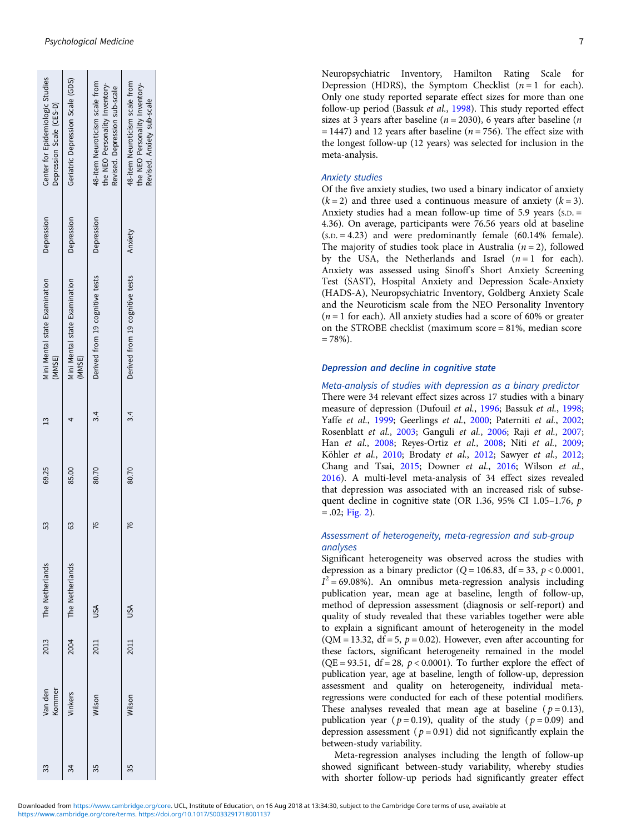| Center for Epidemiologic Studies<br>Depression Scale (CES-D) | Geriatric Depression Scale (GDS)        | 48-item Neuroticism scale from<br>the NEO Personality Inventory-<br>Revised. Depression sub-scale | 48-item Neuroticism scale from<br>the NEO Personality Inventory-<br>Revised. Anxiety sub-scale |  |
|--------------------------------------------------------------|-----------------------------------------|---------------------------------------------------------------------------------------------------|------------------------------------------------------------------------------------------------|--|
| Depression                                                   | Depression                              | Depression                                                                                        | Anxiety                                                                                        |  |
| Mini Mental state Examination<br>(MMSE)                      | Mini Mental state Examination<br>(MMSE) | Derived from 19 cognitive tests                                                                   | Derived from 19 cognitive tests                                                                |  |
| ≏                                                            |                                         | 3.4                                                                                               | 3.4                                                                                            |  |
| 69.25                                                        | 85.00                                   | 80.70                                                                                             | 80.70                                                                                          |  |
| S3                                                           | යි                                      | Ľ                                                                                                 | ξ                                                                                              |  |
| The Netherlands                                              | 2004 The Netherlands                    |                                                                                                   |                                                                                                |  |
| 2013                                                         |                                         | 2011 USA                                                                                          | 2011 USA                                                                                       |  |
| Van den<br>Kommer                                            | Vinkers                                 | Wilson                                                                                            | Wilson                                                                                         |  |
| 33                                                           | 34                                      | 35                                                                                                | 35                                                                                             |  |

Neuropsychiatric Inventory, Hamilton Rating Scale for Depression (HDRS), the Symptom Checklist  $(n = 1$  for each). Only one study reported separate effect sizes for more than one follow-up period (Bassuk et al., [1998](#page-10-0)). This study reported effect sizes at 3 years after baseline ( $n = 2030$ ), 6 years after baseline (*n*  $= 1447$ ) and 12 years after baseline ( $n = 756$ ). The effect size with the longest follow-up (12 years) was selected for inclusion in the meta-analysis.

## Anxiety studies

Of the five anxiety studies, two used a binary indicator of anxiety  $(k = 2)$  and three used a continuous measure of anxiety  $(k = 3)$ . Anxiety studies had a mean follow-up time of  $5.9$  years (s.p. = 4.36). On average, participants were 76.56 years old at baseline  $(S.D. = 4.23)$  and were predominantly female  $(60.14\%$  female). The majority of studies took place in Australia ( $n = 2$ ), followed by the USA, the Netherlands and Israel  $(n = 1$  for each). Anxiety was assessed using Sinoff's Short Anxiety Screening Test (SAST), Hospital Anxiety and Depression Scale-Anxiety (HADS-A), Neuropsychiatric Inventory, Goldberg Anxiety Scale and the Neuroticism scale from the NEO Personality Inventory  $(n = 1$  for each). All anxiety studies had a score of 60% or greater on the STROBE checklist (maximum score = 81%, median score  $= 78\%$ ).

# Depression and decline in cognitive state

Meta-analysis of studies with depression as a binary predictor There were 34 relevant effect sizes across 17 studies with a binary measure of depression (Dufouil et al., [1996](#page-11-0); Bassuk et al., [1998](#page-10-0); Yaffe et al., [1999](#page-12-0); Geerlings et al., [2000;](#page-11-0) Paterniti et al., [2002](#page-12-0); Rosenblatt et al., [2003;](#page-12-0) Ganguli et al., [2006](#page-11-0); Raji et al., [2007](#page-12-0); Han et al., [2008;](#page-11-0) Reyes-Ortiz et al., [2008;](#page-12-0) Niti et al., [2009](#page-11-0); Köhler et al., [2010;](#page-11-0) Brodaty et al., [2012;](#page-10-0) Sawyer et al., [2012](#page-12-0); Chang and Tsai, [2015](#page-11-0); Downer et al., [2016;](#page-11-0) Wilson et al., [2016](#page-12-0)). A multi-level meta-analysis of 34 effect sizes revealed that depression was associated with an increased risk of subsequent decline in cognitive state (OR 1.36, 95% CI 1.05–1.76, p  $= .02;$  [Fig. 2](#page-7-0)).

# Assessment of heterogeneity, meta-regression and sub-group analyses

Significant heterogeneity was observed across the studies with depression as a binary predictor ( $Q = 106.83$ , df = 33,  $p < 0.0001$ ,  $I^2$  = 69.08%). An omnibus meta-regression analysis including publication year, mean age at baseline, length of follow-up, method of depression assessment (diagnosis or self-report) and quality of study revealed that these variables together were able to explain a significant amount of heterogeneity in the model  $(OM = 13.32, df = 5, p = 0.02)$ . However, even after accounting for these factors, significant heterogeneity remained in the model (QE = 93.51, df = 28,  $p < 0.0001$ ). To further explore the effect of publication year, age at baseline, length of follow-up, depression assessment and quality on heterogeneity, individual metaregressions were conducted for each of these potential modifiers. These analyses revealed that mean age at baseline ( $p = 0.13$ ), publication year ( $p = 0.19$ ), quality of the study ( $p = 0.09$ ) and depression assessment ( $p = 0.91$ ) did not significantly explain the between-study variability.

Meta-regression analyses including the length of follow-up showed significant between-study variability, whereby studies with shorter follow-up periods had significantly greater effect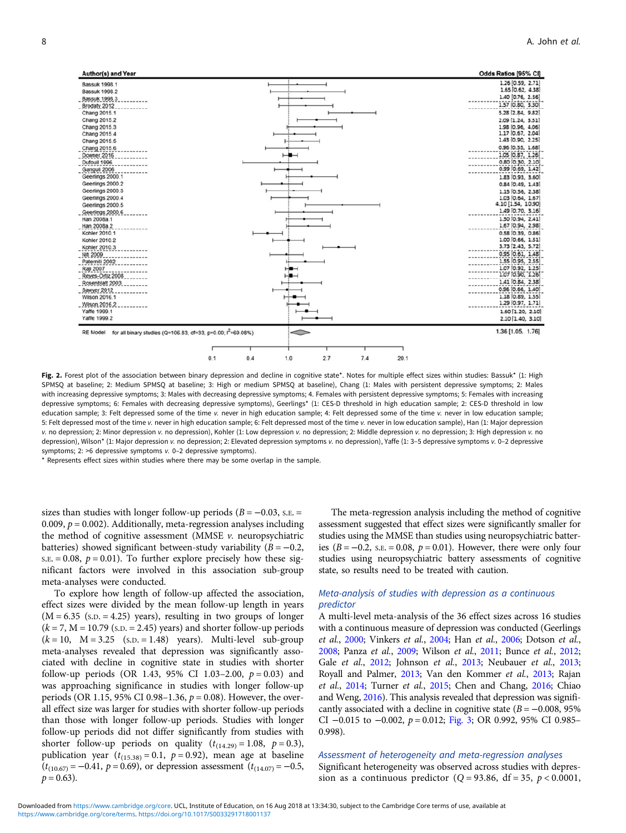<span id="page-7-0"></span>

Fig. 2. Forest plot of the association between binary depression and decline in cognitive state\*. Notes for multiple effect sizes within studies: Bassuk\* (1: High SPMSQ at baseline; 2: Medium SPMSQ at baseline; 3: High or medium SPMSQ at baseline), Chang (1: Males with persistent depressive symptoms; 2: Males with increasing depressive symptoms; 3: Males with decreasing depressive symptoms; 4. Females with persistent depressive symptoms; 5: Females with increasing depressive symptoms; 6: Females with decreasing depressive symptoms), Geerlings\* (1: CES-D threshold in high education sample; 2: CES-D threshold in low education sample; 3: Felt depressed some of the time v. never in high education sample; 4: Felt depressed some of the time v. never in low education sample; 5: Felt depressed most of the time v. never in high education sample; 6: Felt depressed most of the time v. never in low education sample), Han (1: Major depression v. no depression; 2: Minor depression v. no depression), Kohler (1: Low depression v. no depression; 2: Middle depression v. no depression; 3: High depression v. no depression), Wilson\* (1: Major depression v. no depression; 2: Elevated depression symptoms v. no depression), Yaffe (1: 3-5 depressive symptoms v. 0-2 depressive symptoms; 2: >6 depressive symptoms v. 0-2 depressive symptoms).

\* Represents effect sizes within studies where there may be some overlap in the sample.

sizes than studies with longer follow-up periods ( $B = -0.03$ , s.e. = 0.009,  $p = 0.002$ ). Additionally, meta-regression analyses including the method of cognitive assessment (MMSE  $\nu$ . neuropsychiatric batteries) showed significant between-study variability  $(B = -0.2$ ,  $s.E. = 0.08$ ,  $p = 0.01$ ). To further explore precisely how these significant factors were involved in this association sub-group meta-analyses were conducted.

To explore how length of follow-up affected the association, effect sizes were divided by the mean follow-up length in years  $(M = 6.35$  (s.p. = 4.25) years), resulting in two groups of longer  $(k = 7, M = 10.79$  (s.p. = 2.45) years) and shorter follow-up periods  $(k = 10, \quad M = 3.25 \quad (s.D. = 1.48)$  years). Multi-level sub-group meta-analyses revealed that depression was significantly associated with decline in cognitive state in studies with shorter follow-up periods (OR 1.43, 95% CI 1.03–2.00,  $p = 0.03$ ) and was approaching significance in studies with longer follow-up periods (OR 1.15, 95% CI 0.98-1.36,  $p = 0.08$ ). However, the overall effect size was larger for studies with shorter follow-up periods than those with longer follow-up periods. Studies with longer follow-up periods did not differ significantly from studies with shorter follow-up periods on quality  $(t<sub>(14.29)</sub> = 1.08, p = 0.3)$ , publication year  $(t_{(15.38)} = 0.1, p = 0.92)$ , mean age at baseline  $(t_{(10.67)} = -0.41, p = 0.69)$ , or depression assessment  $(t_{(14.07)} = -0.5,$  $p = 0.63$ ).

The meta-regression analysis including the method of cognitive assessment suggested that effect sizes were significantly smaller for studies using the MMSE than studies using neuropsychiatric batteries  $(B = -0.2, s.E. = 0.08, p = 0.01)$ . However, there were only four studies using neuropsychiatric battery assessments of cognitive state, so results need to be treated with caution.

# Meta-analysis of studies with depression as a continuous predictor

A multi-level meta-analysis of the 36 effect sizes across 16 studies with a continuous measure of depression was conducted (Geerlings et al., [2000;](#page-11-0) Vinkers et al., [2004;](#page-12-0) Han et al., [2006;](#page-11-0) Dotson et al., [2008](#page-11-0); Panza et al., [2009;](#page-12-0) Wilson et al., [2011](#page-12-0); Bunce et al., [2012;](#page-10-0) Gale et al., [2012](#page-11-0); Johnson et al., [2013;](#page-11-0) Neubauer et al., 2013; Royall and Palmer, [2013](#page-12-0); Van den Kommer et al., [2013](#page-12-0); Rajan et al., [2014;](#page-12-0) Turner et al., [2015;](#page-12-0) Chen and Chang, [2016](#page-11-0); Chiao and Weng, [2016\)](#page-11-0). This analysis revealed that depression was significantly associated with a decline in cognitive state  $(B = -0.008, 95\%)$ CI  $-0.015$  to  $-0.002$ ,  $p = 0.012$ ; [Fig. 3;](#page-8-0) OR 0.992, 95% CI 0.985– 0.998).

Assessment of heterogeneity and meta-regression analyses

Significant heterogeneity was observed across studies with depression as a continuous predictor ( $Q = 93.86$ , df = 35,  $p < 0.0001$ ,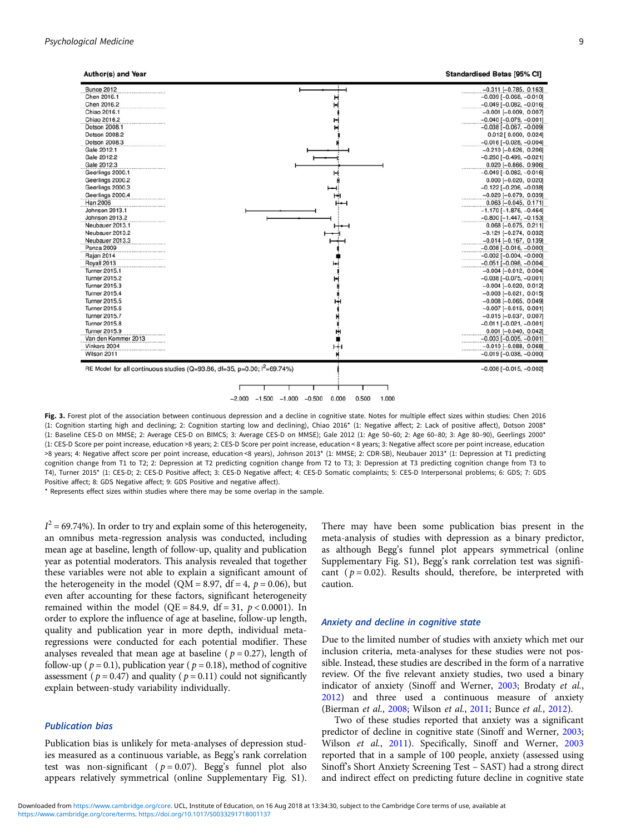<span id="page-8-0"></span>Author(s) and Year

#### **Standardised Betas [95% CI]**



Fig. 3. Forest plot of the association between continuous depression and a decline in cognitive state. Notes for multiple effect sizes within studies: Chen 2016 (1: Cognition starting high and declining; 2: Cognition starting low and declining), Chiao 2016\* (1: Negative affect; 2: Lack of positive affect), Dotson 2008\* (1: Baseline CES-D on MMSE; 2: Average CES-D on BIMCS; 3: Average CES-D on MMSE); Gale 2012 (1: Age 50–60; 2: Age 60–80; 3: Age 80–90), Geerlings 2000\* (1: CES-D Score per point increase, education >8 years; 2: CES-D Score per point increase, education < 8 years; 3: Negative affect score per point increase, education >8 years; 4: Negative affect score per point increase, education <8 years), Johnson 2013\* (1: MMSE; 2: CDR-SB), Neubauer 2013\* (1: Depression at T1 predicting cognition change from T1 to T2; 2: Depression at T2 predicting cognition change from T2 to T3; 3: Depression at T3 predicting cognition change from T3 to T4), Turner 2015\* (1: CES-D; 2: CES-D Positive affect; 3: CES-D Negative affect; 4: CES-D Somatic complaints; 5: CES-D Interpersonal problems; 6: GDS; 7: GDS Positive affect; 8: GDS Negative affect; 9: GDS Positive and negative affect).

\* Represents effect sizes within studies where there may be some overlap in the sample.

 $I^2$  = 69.74%). In order to try and explain some of this heterogeneity, an omnibus meta-regression analysis was conducted, including mean age at baseline, length of follow-up, quality and publication year as potential moderators. This analysis revealed that together these variables were not able to explain a significant amount of the heterogeneity in the model (QM = 8.97,  $df = 4$ ,  $p = 0.06$ ), but even after accounting for these factors, significant heterogeneity remained within the model (QE = 84.9, df = 31,  $p < 0.0001$ ). In order to explore the influence of age at baseline, follow-up length, quality and publication year in more depth, individual metaregressions were conducted for each potential modifier. These analyses revealed that mean age at baseline ( $p = 0.27$ ), length of follow-up ( $p = 0.1$ ), publication year ( $p = 0.18$ ), method of cognitive assessment ( $p = 0.47$ ) and quality ( $p = 0.11$ ) could not significantly explain between-study variability individually.

# Publication bias

Publication bias is unlikely for meta-analyses of depression studies measured as a continuous variable, as Begg's rank correlation test was non-significant ( $p = 0.07$ ). Begg's funnel plot also appears relatively symmetrical (online Supplementary Fig. S1).

There may have been some publication bias present in the meta-analysis of studies with depression as a binary predictor, as although Begg's funnel plot appears symmetrical (online Supplementary Fig. S1), Begg's rank correlation test was significant ( $p = 0.02$ ). Results should, therefore, be interpreted with caution.

# Anxiety and decline in cognitive state

Due to the limited number of studies with anxiety which met our inclusion criteria, meta-analyses for these studies were not possible. Instead, these studies are described in the form of a narrative review. Of the five relevant anxiety studies, two used a binary indicator of anxiety (Sinoff and Werner, [2003](#page-12-0); Brodaty et al., [2012](#page-10-0)) and three used a continuous measure of anxiety (Bierman et al., [2008](#page-10-0); Wilson et al., [2011;](#page-12-0) Bunce et al., [2012\)](#page-10-0).

Two of these studies reported that anxiety was a significant predictor of decline in cognitive state (Sinoff and Werner, [2003](#page-12-0); Wilson et al., [2011](#page-12-0)). Specifically, Sinoff and Werner, [2003](#page-12-0) reported that in a sample of 100 people, anxiety (assessed using Sinoff's Short Anxiety Screening Test – SAST) had a strong direct and indirect effect on predicting future decline in cognitive state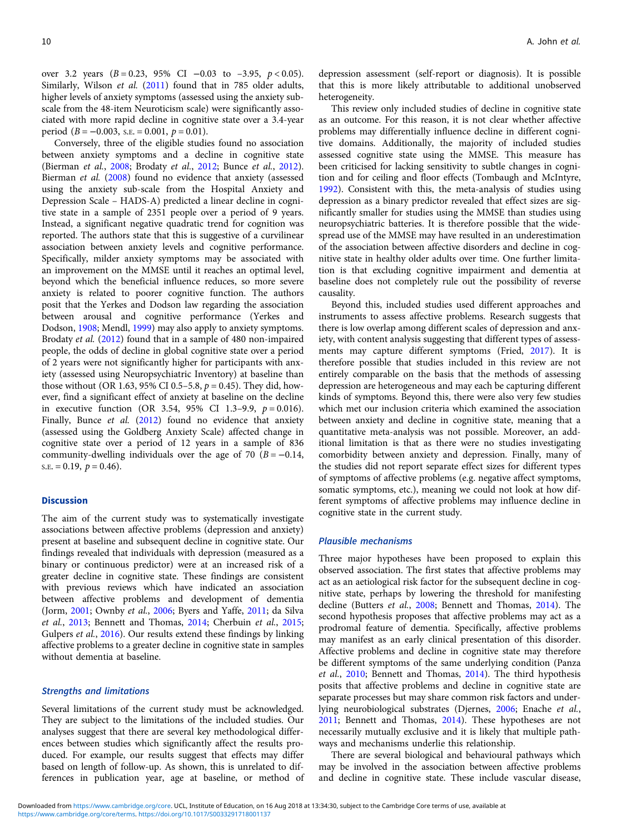over 3.2 years  $(B = 0.23, 95\% \text{ CI} -0.03 \text{ to } -3.95, p < 0.05)$ . Similarly, Wilson et al. ([2011](#page-12-0)) found that in 785 older adults, higher levels of anxiety symptoms (assessed using the anxiety subscale from the 48-item Neuroticism scale) were significantly associated with more rapid decline in cognitive state over a 3.4-year period  $(B = -0.003, s.E. = 0.001, p = 0.01)$ .

Conversely, three of the eligible studies found no association between anxiety symptoms and a decline in cognitive state (Bierman et al., [2008](#page-10-0); Brodaty et al., [2012](#page-10-0); Bunce et al., [2012\)](#page-10-0). Bierman et al. ([2008](#page-10-0)) found no evidence that anxiety (assessed using the anxiety sub-scale from the Hospital Anxiety and Depression Scale – HADS-A) predicted a linear decline in cognitive state in a sample of 2351 people over a period of 9 years. Instead, a significant negative quadratic trend for cognition was reported. The authors state that this is suggestive of a curvilinear association between anxiety levels and cognitive performance. Specifically, milder anxiety symptoms may be associated with an improvement on the MMSE until it reaches an optimal level, beyond which the beneficial influence reduces, so more severe anxiety is related to poorer cognitive function. The authors posit that the Yerkes and Dodson law regarding the association between arousal and cognitive performance (Yerkes and Dodson, [1908](#page-12-0); Mendl, [1999](#page-11-0)) may also apply to anxiety symptoms. Brodaty et al. [\(2012\)](#page-10-0) found that in a sample of 480 non-impaired people, the odds of decline in global cognitive state over a period of 2 years were not significantly higher for participants with anxiety (assessed using Neuropsychiatric Inventory) at baseline than those without (OR 1.63, 95% CI 0.5–5.8,  $p = 0.45$ ). They did, however, find a significant effect of anxiety at baseline on the decline in executive function (OR 3.54, 95% CI 1.3–9.9,  $p = 0.016$ ). Finally, Bunce et al. [\(2012\)](#page-10-0) found no evidence that anxiety (assessed using the Goldberg Anxiety Scale) affected change in cognitive state over a period of 12 years in a sample of 836 community-dwelling individuals over the age of 70 ( $B = -0.14$ ,  $s.E. = 0.19, p = 0.46$ .

# **Discussion**

The aim of the current study was to systematically investigate associations between affective problems (depression and anxiety) present at baseline and subsequent decline in cognitive state. Our findings revealed that individuals with depression (measured as a binary or continuous predictor) were at an increased risk of a greater decline in cognitive state. These findings are consistent with previous reviews which have indicated an association between affective problems and development of dementia (Jorm, [2001;](#page-11-0) Ownby et al., [2006](#page-12-0); Byers and Yaffe, [2011;](#page-11-0) da Silva et al., [2013;](#page-11-0) Bennett and Thomas, [2014;](#page-10-0) Cherbuin et al., [2015](#page-11-0); Gulpers et al., [2016\)](#page-11-0). Our results extend these findings by linking affective problems to a greater decline in cognitive state in samples without dementia at baseline.

# Strengths and limitations

Several limitations of the current study must be acknowledged. They are subject to the limitations of the included studies. Our analyses suggest that there are several key methodological differences between studies which significantly affect the results produced. For example, our results suggest that effects may differ based on length of follow-up. As shown, this is unrelated to differences in publication year, age at baseline, or method of

depression assessment (self-report or diagnosis). It is possible that this is more likely attributable to additional unobserved heterogeneity.

This review only included studies of decline in cognitive state as an outcome. For this reason, it is not clear whether affective problems may differentially influence decline in different cognitive domains. Additionally, the majority of included studies assessed cognitive state using the MMSE. This measure has been criticised for lacking sensitivity to subtle changes in cognition and for ceiling and floor effects (Tombaugh and McIntyre, [1992\)](#page-12-0). Consistent with this, the meta-analysis of studies using depression as a binary predictor revealed that effect sizes are significantly smaller for studies using the MMSE than studies using neuropsychiatric batteries. It is therefore possible that the widespread use of the MMSE may have resulted in an underestimation of the association between affective disorders and decline in cognitive state in healthy older adults over time. One further limitation is that excluding cognitive impairment and dementia at baseline does not completely rule out the possibility of reverse causality.

Beyond this, included studies used different approaches and instruments to assess affective problems. Research suggests that there is low overlap among different scales of depression and anxiety, with content analysis suggesting that different types of assessments may capture different symptoms (Fried, [2017\)](#page-11-0). It is therefore possible that studies included in this review are not entirely comparable on the basis that the methods of assessing depression are heterogeneous and may each be capturing different kinds of symptoms. Beyond this, there were also very few studies which met our inclusion criteria which examined the association between anxiety and decline in cognitive state, meaning that a quantitative meta-analysis was not possible. Moreover, an additional limitation is that as there were no studies investigating comorbidity between anxiety and depression. Finally, many of the studies did not report separate effect sizes for different types of symptoms of affective problems (e.g. negative affect symptoms, somatic symptoms, etc.), meaning we could not look at how different symptoms of affective problems may influence decline in cognitive state in the current study.

## Plausible mechanisms

Three major hypotheses have been proposed to explain this observed association. The first states that affective problems may act as an aetiological risk factor for the subsequent decline in cognitive state, perhaps by lowering the threshold for manifesting decline (Butters et al., [2008;](#page-11-0) Bennett and Thomas, [2014](#page-10-0)). The second hypothesis proposes that affective problems may act as a prodromal feature of dementia. Specifically, affective problems may manifest as an early clinical presentation of this disorder. Affective problems and decline in cognitive state may therefore be different symptoms of the same underlying condition (Panza et al., [2010;](#page-12-0) Bennett and Thomas, [2014](#page-10-0)). The third hypothesis posits that affective problems and decline in cognitive state are separate processes but may share common risk factors and underlying neurobiological substrates (Djernes, [2006](#page-11-0); Enache et al., [2011;](#page-11-0) Bennett and Thomas, [2014\)](#page-10-0). These hypotheses are not necessarily mutually exclusive and it is likely that multiple pathways and mechanisms underlie this relationship.

There are several biological and behavioural pathways which may be involved in the association between affective problems and decline in cognitive state. These include vascular disease,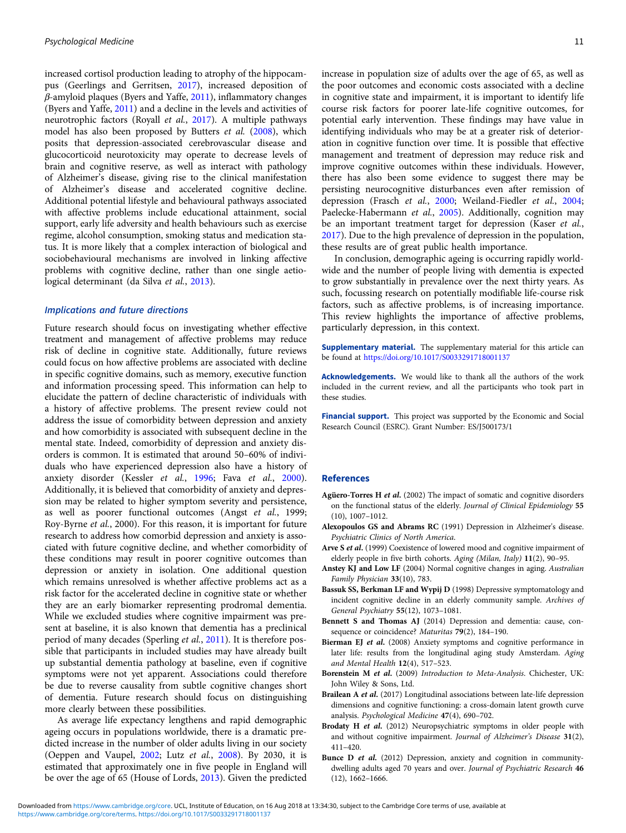<span id="page-10-0"></span>increased cortisol production leading to atrophy of the hippocampus (Geerlings and Gerritsen, [2017](#page-11-0)), increased deposition of  $\beta$ -amyloid plaques (Byers and Yaffe, [2011\)](#page-11-0), inflammatory changes (Byers and Yaffe, [2011](#page-11-0)) and a decline in the levels and activities of neurotrophic factors (Royall et al., [2017](#page-12-0)). A multiple pathways model has also been proposed by Butters et al. [\(2008](#page-11-0)), which posits that depression-associated cerebrovascular disease and glucocorticoid neurotoxicity may operate to decrease levels of brain and cognitive reserve, as well as interact with pathology of Alzheimer's disease, giving rise to the clinical manifestation of Alzheimer's disease and accelerated cognitive decline. Additional potential lifestyle and behavioural pathways associated with affective problems include educational attainment, social support, early life adversity and health behaviours such as exercise regime, alcohol consumption, smoking status and medication status. It is more likely that a complex interaction of biological and sociobehavioural mechanisms are involved in linking affective problems with cognitive decline, rather than one single aetiological determinant (da Silva et al., [2013\)](#page-11-0).

## Implications and future directions

Future research should focus on investigating whether effective treatment and management of affective problems may reduce risk of decline in cognitive state. Additionally, future reviews could focus on how affective problems are associated with decline in specific cognitive domains, such as memory, executive function and information processing speed. This information can help to elucidate the pattern of decline characteristic of individuals with a history of affective problems. The present review could not address the issue of comorbidity between depression and anxiety and how comorbidity is associated with subsequent decline in the mental state. Indeed, comorbidity of depression and anxiety disorders is common. It is estimated that around 50–60% of individuals who have experienced depression also have a history of anxiety disorder (Kessler et al., [1996;](#page-11-0) Fava et al., [2000\)](#page-11-0). Additionally, it is believed that comorbidity of anxiety and depression may be related to higher symptom severity and persistence, as well as poorer functional outcomes (Angst et al., 1999; Roy-Byrne et al., 2000). For this reason, it is important for future research to address how comorbid depression and anxiety is associated with future cognitive decline, and whether comorbidity of these conditions may result in poorer cognitive outcomes than depression or anxiety in isolation. One additional question which remains unresolved is whether affective problems act as a risk factor for the accelerated decline in cognitive state or whether they are an early biomarker representing prodromal dementia. While we excluded studies where cognitive impairment was present at baseline, it is also known that dementia has a preclinical period of many decades (Sperling et al., [2011](#page-12-0)). It is therefore possible that participants in included studies may have already built up substantial dementia pathology at baseline, even if cognitive symptoms were not yet apparent. Associations could therefore be due to reverse causality from subtle cognitive changes short of dementia. Future research should focus on distinguishing more clearly between these possibilities.

As average life expectancy lengthens and rapid demographic ageing occurs in populations worldwide, there is a dramatic predicted increase in the number of older adults living in our society (Oeppen and Vaupel, [2002;](#page-11-0) Lutz et al., [2008\)](#page-11-0). By 2030, it is estimated that approximately one in five people in England will be over the age of 65 (House of Lords, [2013](#page-11-0)). Given the predicted increase in population size of adults over the age of 65, as well as the poor outcomes and economic costs associated with a decline in cognitive state and impairment, it is important to identify life course risk factors for poorer late-life cognitive outcomes, for potential early intervention. These findings may have value in identifying individuals who may be at a greater risk of deterioration in cognitive function over time. It is possible that effective management and treatment of depression may reduce risk and improve cognitive outcomes within these individuals. However, there has also been some evidence to suggest there may be persisting neurocognitive disturbances even after remission of depression (Frasch et al., [2000](#page-11-0); Weiland-Fiedler et al., [2004](#page-12-0); Paelecke-Habermann et al., [2005](#page-12-0)). Additionally, cognition may be an important treatment target for depression (Kaser et al., [2017](#page-11-0)). Due to the high prevalence of depression in the population, these results are of great public health importance.

In conclusion, demographic ageing is occurring rapidly worldwide and the number of people living with dementia is expected to grow substantially in prevalence over the next thirty years. As such, focussing research on potentially modifiable life-course risk factors, such as affective problems, is of increasing importance. This review highlights the importance of affective problems, particularly depression, in this context.

Supplementary material. The supplementary material for this article can be found at <https://doi.org/10.1017/S0033291718001137>

Acknowledgements. We would like to thank all the authors of the work included in the current review, and all the participants who took part in these studies.

Financial support. This project was supported by the Economic and Social Research Council (ESRC). Grant Number: ES/J500173/1

# References

- Agüero-Torres H et al. (2002) The impact of somatic and cognitive disorders on the functional status of the elderly. Journal of Clinical Epidemiology 55 (10), 1007–1012.
- Alexopoulos GS and Abrams RC (1991) Depression in Alzheimer's disease. Psychiatric Clinics of North America.
- Arve S et al. (1999) Coexistence of lowered mood and cognitive impairment of elderly people in five birth cohorts. Aging (Milan, Italy) 11(2), 90–95.
- Anstey KJ and Low LF (2004) Normal cognitive changes in aging. Australian Family Physician 33(10), 783.
- Bassuk SS, Berkman LF and Wypij D (1998) Depressive symptomatology and incident cognitive decline in an elderly community sample. Archives of General Psychiatry 55(12), 1073–1081.
- Bennett S and Thomas AJ (2014) Depression and dementia: cause, consequence or coincidence? Maturitas 79(2), 184–190.
- Bierman EJ et al. (2008) Anxiety symptoms and cognitive performance in later life: results from the longitudinal aging study Amsterdam. Aging and Mental Health 12(4), 517–523.
- Borenstein M et al. (2009) Introduction to Meta-Analysis. Chichester, UK: John Wiley & Sons, Ltd.
- Brailean A et al. (2017) Longitudinal associations between late-life depression dimensions and cognitive functioning: a cross-domain latent growth curve analysis. Psychological Medicine 47(4), 690–702.
- Brodaty H et al. (2012) Neuropsychiatric symptoms in older people with and without cognitive impairment. Journal of Alzheimer's Disease 31(2), 411–420.
- Bunce D et al. (2012) Depression, anxiety and cognition in communitydwelling adults aged 70 years and over. Journal of Psychiatric Research 46 (12), 1662–1666.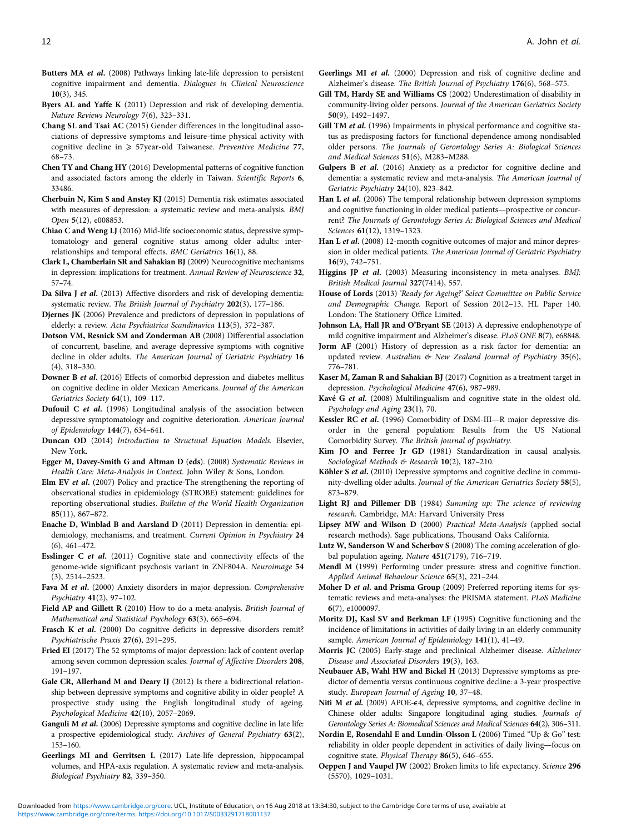- <span id="page-11-0"></span>Butters MA et al. (2008) Pathways linking late-life depression to persistent cognitive impairment and dementia. Dialogues in Clinical Neuroscience 10(3), 345.
- Byers AL and Yaffe K (2011) Depression and risk of developing dementia. Nature Reviews Neurology 7(6), 323–331.
- Chang SL and Tsai AC (2015) Gender differences in the longitudinal associations of depressive symptoms and leisure-time physical activity with cognitive decline in  $\geq$  57year-old Taiwanese. Preventive Medicine 77, 68–73.
- Chen TY and Chang HY (2016) Developmental patterns of cognitive function and associated factors among the elderly in Taiwan. Scientific Reports 6, 33486.
- Cherbuin N, Kim S and Anstey KJ (2015) Dementia risk estimates associated with measures of depression: a systematic review and meta-analysis. BMJ Open 5(12), e008853.
- Chiao C and Weng LJ (2016) Mid-life socioeconomic status, depressive symptomatology and general cognitive status among older adults: interrelationships and temporal effects. BMC Geriatrics 16(1), 88.
- Clark L, Chamberlain SR and Sahakian BJ (2009) Neurocognitive mechanisms in depression: implications for treatment. Annual Review of Neuroscience 32, 57–74.
- Da Silva J et al. (2013) Affective disorders and risk of developing dementia: systematic review. The British Journal of Psychiatry 202(3), 177–186.
- Djernes JK (2006) Prevalence and predictors of depression in populations of elderly: a review. Acta Psychiatrica Scandinavica 113(5), 372–387.
- Dotson VM, Resnick SM and Zonderman AB (2008) Differential association of concurrent, baseline, and average depressive symptoms with cognitive decline in older adults. The American Journal of Geriatric Psychiatry 16 (4), 318–330.
- Downer B et al. (2016) Effects of comorbid depression and diabetes mellitus on cognitive decline in older Mexican Americans. Journal of the American Geriatrics Society 64(1), 109–117.
- Dufouil C et al. (1996) Longitudinal analysis of the association between depressive symptomatology and cognitive deterioration. American Journal of Epidemiology 144(7), 634–641.
- Duncan OD (2014) Introduction to Structural Equation Models. Elsevier, New York.
- Egger M, Davey-Smith G and Altman D (eds). (2008) Systematic Reviews in Health Care: Meta-Analysis in Context. John Wiley & Sons, London.
- Elm EV et al. (2007) Policy and practice-The strengthening the reporting of observational studies in epidemiology (STROBE) statement: guidelines for reporting observational studies. Bulletin of the World Health Organization 85(11), 867–872.
- Enache D, Winblad B and Aarsland D (2011) Depression in dementia: epidemiology, mechanisms, and treatment. Current Opinion in Psychiatry 24 (6), 461–472.
- Esslinger C et al. (2011) Cognitive state and connectivity effects of the genome-wide significant psychosis variant in ZNF804A. Neuroimage 54 (3), 2514–2523.
- Fava M et al. (2000) Anxiety disorders in major depression. Comprehensive Psychiatry 41(2), 97–102.
- Field AP and Gillett R (2010) How to do a meta-analysis. British Journal of Mathematical and Statistical Psychology 63(3), 665–694.
- Frasch K et al. (2000) Do cognitive deficits in depressive disorders remit? Psychiatrische Praxis 27(6), 291–295.
- Fried EI (2017) The 52 symptoms of major depression: lack of content overlap among seven common depression scales. Journal of Affective Disorders 208, 191–197.
- Gale CR, Allerhand M and Deary IJ (2012) Is there a bidirectional relationship between depressive symptoms and cognitive ability in older people? A prospective study using the English longitudinal study of ageing. Psychological Medicine 42(10), 2057–2069.
- Ganguli M et al. (2006) Depressive symptoms and cognitive decline in late life: a prospective epidemiological study. Archives of General Psychiatry 63(2), 153–160.
- Geerlings MI and Gerritsen L (2017) Late-life depression, hippocampal volumes, and HPA-axis regulation. A systematic review and meta-analysis. Biological Psychiatry 82, 339–350.
- Geerlings MI et al. (2000) Depression and risk of cognitive decline and Alzheimer's disease. The British Journal of Psychiatry 176(6), 568–575.
- Gill TM, Hardy SE and Williams CS (2002) Underestimation of disability in community-living older persons. Journal of the American Geriatrics Society 50(9), 1492–1497.
- Gill TM et al. (1996) Impairments in physical performance and cognitive status as predisposing factors for functional dependence among nondisabled older persons. The Journals of Gerontology Series A: Biological Sciences and Medical Sciences 51(6), M283–M288.
- Gulpers B et al. (2016) Anxiety as a predictor for cognitive decline and dementia: a systematic review and meta-analysis. The American Journal of Geriatric Psychiatry 24(10), 823–842.
- Han L et al. (2006) The temporal relationship between depression symptoms and cognitive functioning in older medical patients—prospective or concurrent? The Journals of Gerontology Series A: Biological Sciences and Medical Sciences 61(12), 1319–1323.
- Han L et al. (2008) 12-month cognitive outcomes of major and minor depression in older medical patients. The American Journal of Geriatric Psychiatry 16(9), 742–751.
- Higgins JP et al. (2003) Measuring inconsistency in meta-analyses. BMJ: British Medical Journal 327(7414), 557.
- House of Lords (2013) 'Ready for Ageing?' Select Committee on Public Service and Demographic Change. Report of Session 2012–13. HL Paper 140. London: The Stationery Office Limited.
- Johnson LA, Hall JR and O'Bryant SE (2013) A depressive endophenotype of mild cognitive impairment and Alzheimer's disease. PLoS ONE 8(7), e68848.
- Jorm AF (2001) History of depression as a risk factor for dementia: an updated review. Australian & New Zealand Journal of Psychiatry 35(6), 776–781.
- Kaser M, Zaman R and Sahakian BJ (2017) Cognition as a treatment target in depression. Psychological Medicine 47(6), 987–989.
- Kavé G et al. (2008) Multilingualism and cognitive state in the oldest old. Psychology and Aging 23(1), 70.
- Kessler RC et al. (1996) Comorbidity of DSM-III—R major depressive disorder in the general population: Results from the US National Comorbidity Survey. The British journal of psychiatry.
- Kim JO and Ferree Jr GD (1981) Standardization in causal analysis. Sociological Methods & Research 10(2), 187-210.
- Köhler S et al. (2010) Depressive symptoms and cognitive decline in community-dwelling older adults. Journal of the American Geriatrics Society 58(5), 873–879.
- Light RJ and Pillemer DB (1984) Summing up: The science of reviewing research. Cambridge, MA: Harvard University Press
- Lipsey MW and Wilson D (2000) Practical Meta-Analysis (applied social research methods). Sage publications, Thousand Oaks California.
- Lutz W, Sanderson W and Scherbov S (2008) The coming acceleration of global population ageing. Nature 451(7179), 716–719.
- Mendl M (1999) Performing under pressure: stress and cognitive function. Applied Animal Behaviour Science 65(3), 221–244.
- Moher D et al. and Prisma Group (2009) Preferred reporting items for systematic reviews and meta-analyses: the PRISMA statement. PLoS Medicine 6(7), e1000097.
- Moritz DJ, Kasl SV and Berkman LF (1995) Cognitive functioning and the incidence of limitations in activities of daily living in an elderly community sample. American Journal of Epidemiology 141(1), 41-49.
- Morris JC (2005) Early-stage and preclinical Alzheimer disease. Alzheimer Disease and Associated Disorders 19(3), 163.
- Neubauer AB, Wahl HW and Bickel H (2013) Depressive symptoms as predictor of dementia versus continuous cognitive decline: a 3-year prospective study. European Journal of Ageing 10, 37–48.
- Niti M et al. (2009) APOE-€4, depressive symptoms, and cognitive decline in Chinese older adults: Singapore longitudinal aging studies. Journals of Gerontology Series A: Biomedical Sciences and Medical Sciences 64(2), 306–311.
- Nordin E, Rosendahl E and Lundin-Olsson L (2006) Timed "Up & Go" test: reliability in older people dependent in activities of daily living—focus on cognitive state. Physical Therapy 86(5), 646–655.
- Oeppen J and Vaupel JW (2002) Broken limits to life expectancy. Science 296 (5570), 1029–1031.